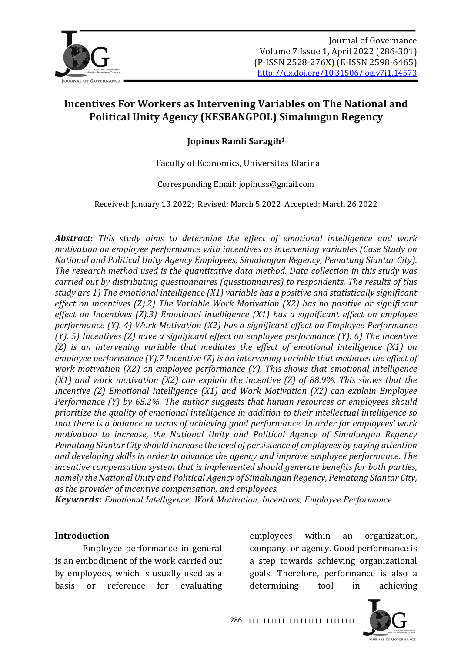

## **Jopinus Ramli Saragih1**

<sup>1</sup>Faculty of Economics, Universitas Efarina

Corresponding Email: jopinuss@gmail.com

Received: January 13 2022; Revised: March 5 2022 Accepted: March 26 2022

*Abstract: This study aims to determine the effect of emotional intelligence and work motivation on employee performance with incentives as intervening variables (Case Study on National and Political Unity Agency Employees, Simalungun Regency, Pematang Siantar City).* The research method used is the quantitative data method. Data collection in this study was *carried out by distributing questionnaires (questionnaires)* to *respondents. The results of this* study are 1) The emotional intelligence (X1) variable has a positive and statistically significant *effect on incentives* (*Z*).2) The Variable Work Motivation (*X2*) has no positive or significant effect on Incentives (Z).3) Emotional intelligence (X1) has a significant effect on employee *performance* (Y). 4) Work Motivation (X2) has a significant effect on Employee Performance *(Y).* 5) Incentives (Z) have a significant effect on employee performance *(Y).* 6) The incentive *(Z)* is an intervening variable that mediates the effect of emotional intelligence *(X1)* on *employee performance (Y).7 Incentive (Z) is an intervening variable that mediates the effect of work motivation* (X2) on employee performance (Y). This shows that emotional intelligence *(X1)* and work motivation *(X2)* can explain the incentive *(Z)* of 88.9%. This shows that the *Incentive* (*Z*) *Emotional Intelligence* (*X1*) and *Work Motivation* (*X2*) *can explain Employee Performance* (Y) by 65.2%. The author suggests that human resources or employees should *prioritize the quality of emotional intelligence in addition to their intellectual intelligence so that there is a balance in terms of achieving good performance. In order for employees' work motivation to increase, the National Unity and Political Agency of Simalungun Regency Pematang Siantar City should increase the level of persistence of employees by paying attention* and developing skills in order to advance the agency and *improve employee performance*. The *incentive compensation system that is implemented should generate benefits for both parties,* namely the National Unity and Political Agency of Simalungun Regency, Pematang Siantar City, *as the provider of incentive compensation, and employees.* 

*Keywords: Emotional Intelligence, Work Motivation, Incentives, Employee Performance* 

#### **Introduction**

Employee performance in general is an embodiment of the work carried out by employees, which is usually used as a basis or reference for evaluating

employees within an organization, company, or agency. Good performance is a step towards achieving organizational goals. Therefore, performance is also a determining tool in achieving

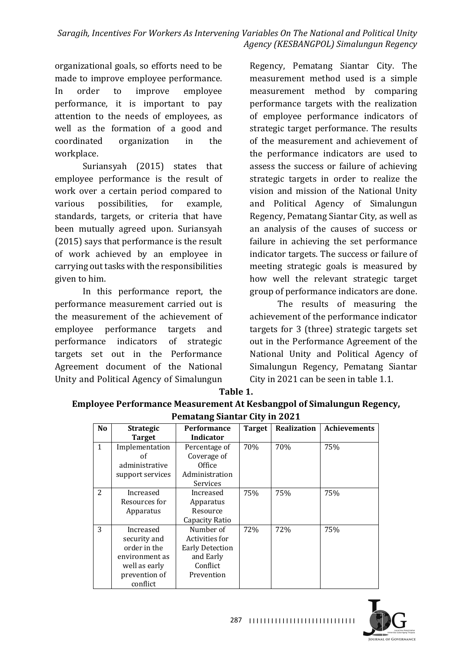organizational goals, so efforts need to be made to improve employee performance. In order to improve employee performance, it is important to pay attention to the needs of employees, as well as the formation of a good and coordinated organization in the workplace.

Suriansyah (2015) states that employee performance is the result of work over a certain period compared to various possibilities, for example, standards, targets, or criteria that have been mutually agreed upon. Suriansyah  $(2015)$  says that performance is the result of work achieved by an employee in carrying out tasks with the responsibilities given to him.

In this performance report, the performance measurement carried out is the measurement of the achievement of employee performance targets and performance indicators of strategic targets set out in the Performance Agreement document of the National Unity and Political Agency of Simalungun

Regency, Pematang Siantar City. The measurement method used is a simple measurement method by comparing performance targets with the realization of employee performance indicators of strategic target performance. The results of the measurement and achievement of the performance indicators are used to assess the success or failure of achieving strategic targets in order to realize the vision and mission of the National Unity and Political Agency of Simalungun Regency, Pematang Siantar City, as well as an analysis of the causes of success or failure in achieving the set performance indicator targets. The success or failure of meeting strategic goals is measured by how well the relevant strategic target group of performance indicators are done.

The results of measuring the achievement of the performance indicator targets for 3 (three) strategic targets set out in the Performance Agreement of the National Unity and Political Agency of Simalungun Regency, Pematang Siantar City in 2021 can be seen in table 1.1.

| Table | . . |
|-------|-----|
|       |     |

**Employee Performance Measurement At Kesbangpol of Simalungun Regency, Pematang Siantar City in 2021** 

|                | I Chiatang Siantar City in 2021 |                        |               |             |                     |  |
|----------------|---------------------------------|------------------------|---------------|-------------|---------------------|--|
| N <sub>o</sub> | <b>Strategic</b>                | <b>Performance</b>     | <b>Target</b> | Realization | <b>Achievements</b> |  |
|                | <b>Target</b>                   | Indicator              |               |             |                     |  |
| $\mathbf{1}$   | Implementation                  | Percentage of          | 70%           | 70%         | 75%                 |  |
|                | οf                              | Coverage of            |               |             |                     |  |
|                | administrative                  | Office                 |               |             |                     |  |
|                | support services                | Administration         |               |             |                     |  |
|                |                                 | Services               |               |             |                     |  |
| 2              | Increased                       | Increased              | 75%           | 75%         | 75%                 |  |
|                | Resources for                   | Apparatus              |               |             |                     |  |
|                | Apparatus                       | Resource               |               |             |                     |  |
|                |                                 | Capacity Ratio         |               |             |                     |  |
| 3              | Increased                       | Number of              | 72%           | 72%         | 75%                 |  |
|                | security and                    | Activities for         |               |             |                     |  |
|                | order in the                    | <b>Early Detection</b> |               |             |                     |  |
|                | environment as                  | and Early              |               |             |                     |  |
|                | well as early                   | Conflict               |               |             |                     |  |
|                | prevention of                   | Prevention             |               |             |                     |  |
|                | conflict                        |                        |               |             |                     |  |

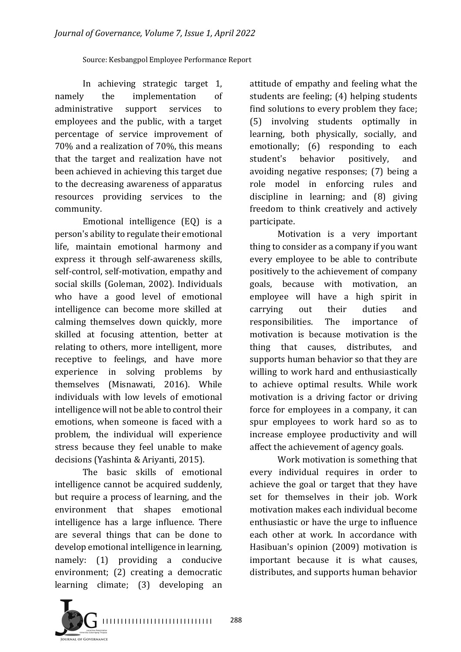#### Source: Kesbangpol Employee Performance Report

In achieving strategic target 1, namely the implementation of administrative support services to employees and the public, with a target percentage of service improvement of 70% and a realization of 70%, this means that the target and realization have not been achieved in achieving this target due to the decreasing awareness of apparatus resources providing services to the community.

Emotional intelligence  $(EQ)$  is a person's ability to regulate their emotional life, maintain emotional harmony and express it through self-awareness skills, self-control, self-motivation, empathy and social skills (Goleman, 2002). Individuals who have a good level of emotional intelligence can become more skilled at calming themselves down quickly, more skilled at focusing attention, better at relating to others, more intelligent, more receptive to feelings, and have more experience in solving problems by themselves (Misnawati, 2016). While individuals with low levels of emotional intelligence will not be able to control their emotions, when someone is faced with a problem, the individual will experience stress because they feel unable to make decisions (Yashinta & Ariyanti, 2015).

The basic skills of emotional intelligence cannot be acquired suddenly, but require a process of learning, and the environment that shapes emotional intelligence has a large influence. There are several things that can be done to develop emotional intelligence in learning, namely: (1) providing a conducive environment; (2) creating a democratic learning climate; (3) developing an

attitude of empathy and feeling what the students are feeling;  $(4)$  helping students find solutions to every problem they face; (5) involving students optimally in learning, both physically, socially, and emotionally; (6) responding to each student's behavior positively, and avoiding negative responses; (7) being a role model in enforcing rules and discipline in learning; and (8) giving freedom to think creatively and actively participate.

Motivation is a very important thing to consider as a company if you want every employee to be able to contribute positively to the achievement of company goals, because with motivation, an employee will have a high spirit in carrying out their duties and responsibilities. The importance of motivation is because motivation is the thing that causes, distributes, and supports human behavior so that they are willing to work hard and enthusiastically to achieve optimal results. While work motivation is a driving factor or driving force for employees in a company, it can spur employees to work hard so as to increase employee productivity and will affect the achievement of agency goals.

Work motivation is something that every individual requires in order to achieve the goal or target that they have set for themselves in their job. Work motivation makes each individual become enthusiastic or have the urge to influence each other at work. In accordance with Hasibuan's opinion (2009) motivation is important because it is what causes, distributes, and supports human behavior

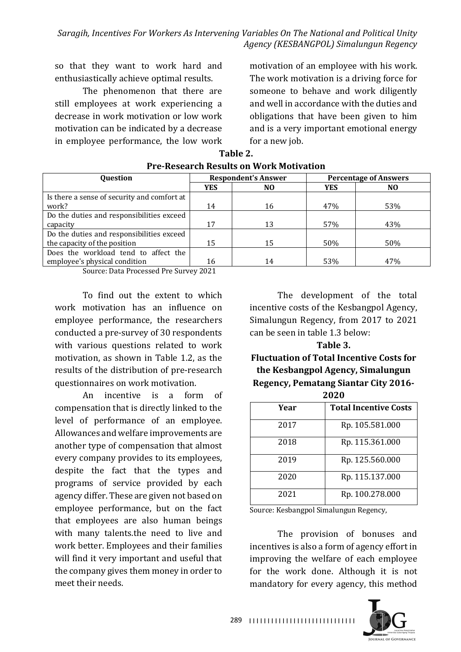so that they want to work hard and enthusiastically achieve optimal results.

The phenomenon that there are still employees at work experiencing a decrease in work motivation or low work motivation can be indicated by a decrease in employee performance, the low work

motivation of an employee with his work. The work motivation is a driving force for someone to behave and work diligently and well in accordance with the duties and obligations that have been given to him and is a very important emotional energy for a new job.

| Question                                    | <b>Respondent's Answer</b> |     |            | <b>Percentage of Answers</b> |  |
|---------------------------------------------|----------------------------|-----|------------|------------------------------|--|
|                                             | <b>YES</b>                 | NO. | <b>YES</b> | NO.                          |  |
| Is there a sense of security and comfort at |                            |     |            |                              |  |
| work?                                       | 14                         | 16  | 47%        | 53%                          |  |
| Do the duties and responsibilities exceed   |                            |     |            |                              |  |
| capacity                                    | 17                         | 13  | 57%        | 43%                          |  |
| Do the duties and responsibilities exceed   |                            |     |            |                              |  |
| the capacity of the position                | 15                         | 15  | 50%        | 50%                          |  |
| Does the workload tend to affect the        |                            |     |            |                              |  |
| employee's physical condition               | 16                         | 14  | 53%        | 47%                          |  |
|                                             |                            |     |            |                              |  |

#### **Table 2. Pre-Research Results on Work Motivation**

Source: Data Processed Pre Survey 2021

To find out the extent to which work motivation has an influence on employee performance, the researchers conducted a pre-survey of 30 respondents with various questions related to work motivation, as shown in Table 1.2, as the results of the distribution of pre-research questionnaires on work motivation.

An incentive is a form of compensation that is directly linked to the level of performance of an employee. Allowances and welfare improvements are another type of compensation that almost every company provides to its employees, despite the fact that the types and programs of service provided by each agency differ. These are given not based on employee performance, but on the fact that employees are also human beings with many talents.the need to live and work better. Employees and their families will find it very important and useful that the company gives them money in order to meet their needs.

The development of the total incentive costs of the Kesbangpol Agency, Simalungun Regency, from 2017 to 2021 can be seen in table 1.3 below:

#### **Table 3.**

**Fluctuation of Total Incentive Costs for** the Kesbangpol Agency, Simalungun **Regency, Pematang Siantar City 2016- 2020**

| Year | <b>Total Incentive Costs</b> |  |  |
|------|------------------------------|--|--|
| 2017 | Rp. 105.581.000              |  |  |
| 2018 | Rp. 115.361.000              |  |  |
| 2019 | Rp. 125.560.000              |  |  |
| 2020 | Rp. 115.137.000              |  |  |
| 2021 | Rp. 100.278.000              |  |  |

Source: Kesbangpol Simalungun Regency,

The provision of bonuses and incentives is also a form of agency effort in improving the welfare of each employee for the work done. Although it is not mandatory for every agency, this method

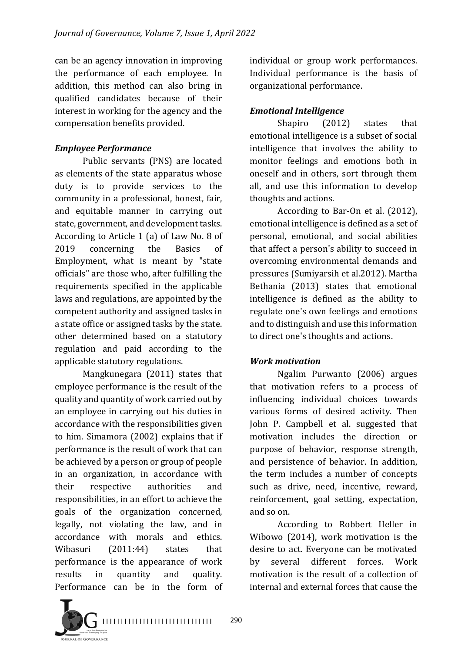can be an agency innovation in improving the performance of each employee. In addition, this method can also bring in qualified candidates because of their interest in working for the agency and the compensation benefits provided.

## *Employee Performance*

Public servants (PNS) are located as elements of the state apparatus whose duty is to provide services to the community in a professional, honest, fair, and equitable manner in carrying out state, government, and development tasks. According to Article  $1$  (a) of Law No. 8 of 2019 concerning the Basics of Employment, what is meant by "state officials" are those who, after fulfilling the requirements specified in the applicable laws and regulations, are appointed by the competent authority and assigned tasks in a state office or assigned tasks by the state. other determined based on a statutory regulation and paid according to the applicable statutory regulations.

Mangkunegara (2011) states that employee performance is the result of the quality and quantity of work carried out by an employee in carrying out his duties in accordance with the responsibilities given to him. Simamora (2002) explains that if performance is the result of work that can be achieved by a person or group of people in an organization, in accordance with their respective authorities and responsibilities, in an effort to achieve the goals of the organization concerned, legally, not violating the law, and in accordance with morals and ethics. Wibasuri (2011:44) states that performance is the appearance of work results in quantity and quality. Performance can be in the form of individual or group work performances. Individual performance is the basis of organizational performance.

## *Emotional Intelligence*

Shapiro (2012) states that emotional intelligence is a subset of social intelligence that involves the ability to monitor feelings and emotions both in oneself and in others, sort through them all, and use this information to develop thoughts and actions.

According to Bar-On et al. (2012), emotional intelligence is defined as a set of personal, emotional, and social abilities that affect a person's ability to succeed in overcoming environmental demands and pressures (Sumiyarsih et al.2012). Martha Bethania (2013) states that emotional intelligence is defined as the ability to regulate one's own feelings and emotions and to distinguish and use this information to direct one's thoughts and actions.

## *Work motivation*

Ngalim Purwanto (2006) argues that motivation refers to a process of influencing individual choices towards various forms of desired activity. Then John P. Campbell et al. suggested that motivation includes the direction or purpose of behavior, response strength, and persistence of behavior. In addition, the term includes a number of concepts such as drive, need, incentive, reward, reinforcement, goal setting, expectation, and so on.

According to Robbert Heller in Wibowo  $(2014)$ , work motivation is the desire to act. Everyone can be motivated by several different forces. Work motivation is the result of a collection of internal and external forces that cause the

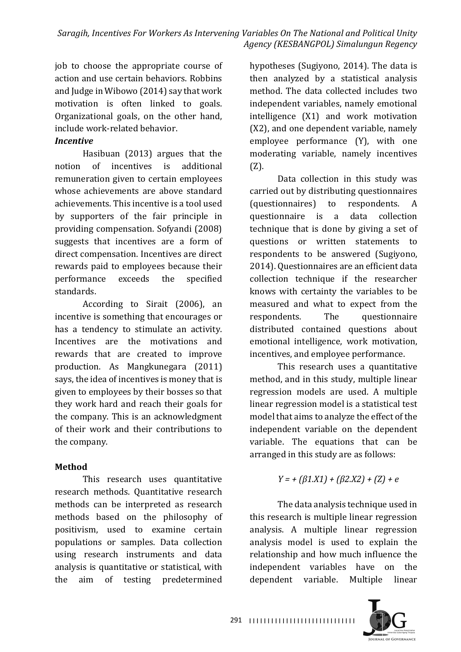job to choose the appropriate course of action and use certain behaviors. Robbins and Judge in Wibowo  $(2014)$  say that work motivation is often linked to goals. Organizational goals, on the other hand, include work-related behavior.

## *Incentive*

Hasibuan  $(2013)$  argues that the notion of incentives is additional remuneration given to certain employees whose achievements are above standard achievements. This incentive is a tool used by supporters of the fair principle in providing compensation. Sofyandi (2008) suggests that incentives are a form of direct compensation. Incentives are direct rewards paid to employees because their performance exceeds the specified standards.

According to Sirait (2006), an incentive is something that encourages or has a tendency to stimulate an activity. Incentives are the motivations and rewards that are created to improve production. As Mangkunegara (2011) says, the idea of incentives is money that is given to employees by their bosses so that they work hard and reach their goals for the company. This is an acknowledgment of their work and their contributions to the company.

# **Method**

This research uses quantitative research methods. Ouantitative research methods can be interpreted as research methods based on the philosophy of positivism, used to examine certain populations or samples. Data collection using research instruments and data analysis is quantitative or statistical, with the aim of testing predetermined

hypotheses (Sugiyono, 2014). The data is then analyzed by a statistical analysis method. The data collected includes two independent variables, namely emotional intelligence  $(X1)$  and work motivation (X2), and one dependent variable, namely employee performance (Y), with one moderating variable, namely incentives (Z).

Data collection in this study was carried out by distributing questionnaires (questionnaires) to respondents. A questionnaire is a data collection technique that is done by giving a set of questions or written statements to respondents to be answered (Sugiyono, 2014). Questionnaires are an efficient data collection technique if the researcher knows with certainty the variables to be measured and what to expect from the respondents. The questionnaire distributed contained questions about emotional intelligence, work motivation, incentives, and employee performance.

This research uses a quantitative method, and in this study, multiple linear regression models are used. A multiple linear regression model is a statistical test model that aims to analyze the effect of the independent variable on the dependent variable. The equations that can be arranged in this study are as follows:

$$
Y = + (\beta 1.X1) + (\beta 2.X2) + (Z) + e
$$

The data analysis technique used in this research is multiple linear regression analysis. A multiple linear regression analysis model is used to explain the relationship and how much influence the independent variables have on the dependent variable. Multiple linear

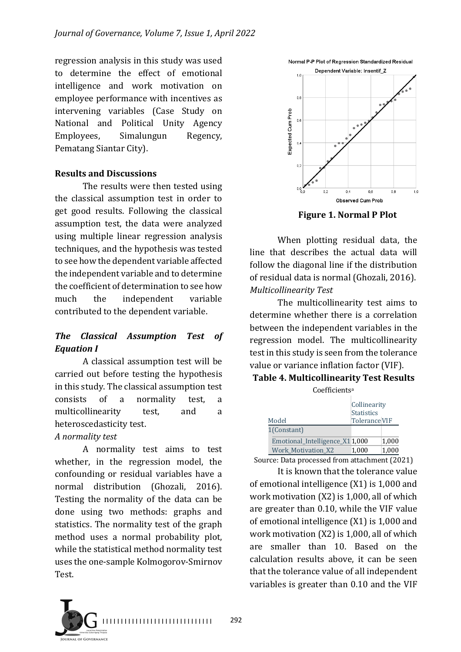regression analysis in this study was used to determine the effect of emotional intelligence and work motivation on employee performance with incentives as intervening variables (Case Study on National and Political Unity Agency Employees, Simalungun Regency, Pematang Siantar City).

#### **Results and Discussions**

The results were then tested using the classical assumption test in order to get good results. Following the classical assumption test, the data were analyzed using multiple linear regression analysis techniques, and the hypothesis was tested to see how the dependent variable affected the independent variable and to determine the coefficient of determination to see how much the independent variable contributed to the dependent variable.

## *The Classical Assumption Test of Equation I*

A classical assumption test will be carried out before testing the hypothesis in this study. The classical assumption test consists of a normality test, a multicollinearity test, and a heteroscedasticity test.

#### *A normality test*

A normality test aims to test whether, in the regression model, the confounding or residual variables have a normal distribution (Ghozali, 2016). Testing the normality of the data can be done using two methods: graphs and statistics. The normality test of the graph method uses a normal probability plot, while the statistical method normality test uses the one-sample Kolmogorov-Smirnov Test.





**Figure 1. Normal P Plot** 

When plotting residual data, the line that describes the actual data will follow the diagonal line if the distribution of residual data is normal (Ghozali, 2016). *Multicollinearity Test*

The multicollinearity test aims to determine whether there is a correlation between the independent variables in the regression model. The multicollinearity test in this study is seen from the tolerance value or variance inflation factor (VIF).

#### **Table 4. Multicollinearity Test Results**

| Coefficients <sup>a</sup>      |                                                           |        |
|--------------------------------|-----------------------------------------------------------|--------|
| Model                          | Collinearity<br><b>Statistics</b><br><b>Tolerance VIF</b> |        |
| 1(Constant)                    |                                                           |        |
| Emotional_Intelligence_X11,000 |                                                           | 1.000  |
| <b>Work Motivation X2</b>      | 1,000                                                     | 1,000  |
|                                | $\blacksquare$                                            | $\sim$ |

Source: Data processed from attachment (2021) It is known that the tolerance value

of emotional intelligence  $(X1)$  is 1,000 and work motivation  $(X2)$  is 1,000, all of which are greater than 0.10, while the VIF value of emotional intelligence  $(X1)$  is 1,000 and work motivation  $(X2)$  is 1,000, all of which are smaller than 10. Based on the calculation results above, it can be seen that the tolerance value of all independent variables is greater than  $0.10$  and the VIF

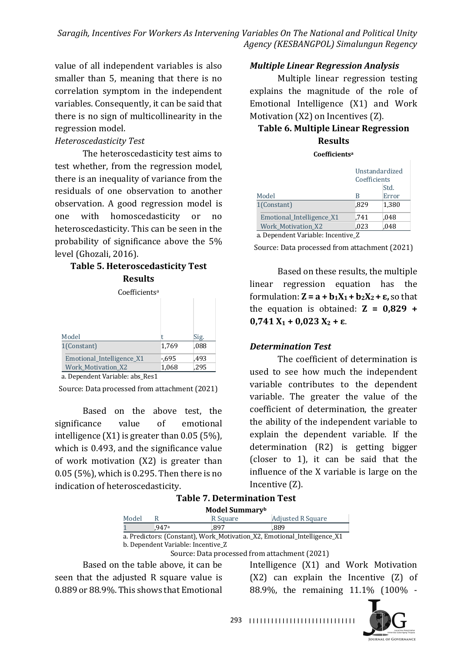value of all independent variables is also smaller than 5, meaning that there is no correlation symptom in the independent variables. Consequently, it can be said that there is no sign of multicollinearity in the regression model.

#### *Heteroscedasticity Test*

The heteroscedasticity test aims to test whether, from the regression model, there is an inequality of variance from the residuals of one observation to another observation. A good regression model is one with homoscedasticity or no heteroscedasticity. This can be seen in the probability of significance above the  $5%$ level (Ghozali, 2016).

#### **Table 5. Heteroscedasticity Test Results**

| Coefficients <sup>a</sup> |          |      |
|---------------------------|----------|------|
|                           |          |      |
|                           |          |      |
|                           |          |      |
| Model                     |          | Sig. |
| 1(Constant)               | 1,769    | ,088 |
| Emotional_Intelligence_X1 | $-0.695$ | .493 |
| <b>Work Motivation X2</b> | 1,068    | .295 |

a. Dependent Variable: abs\_Res1

Source: Data processed from attachment (2021)

Based on the above test, the significance value of emotional intelligence  $(X1)$  is greater than 0.05  $(5\%)$ , which is 0.493, and the significance value of work motivation  $(X2)$  is greater than  $0.05$  (5%), which is 0.295. Then there is no indication of heteroscedasticity.

#### *Multiple Linear Regression Analysis*

Multiple linear regression testing explains the magnitude of the role of Emotional Intelligence (X1) and Work Motivation  $(X2)$  on Incentives  $(Z)$ .

# **Table 6. Multiple Linear Regression Results**

#### **Coefficientsa**

|                                                                                                                      | Coefficients | Unstandardized |
|----------------------------------------------------------------------------------------------------------------------|--------------|----------------|
|                                                                                                                      |              | Std.           |
| Model                                                                                                                | R            | Error          |
| 1(Constant)                                                                                                          | .829         | 1.380          |
| Emotional_Intelligence_X1                                                                                            | .741         | .048           |
| <b>Work_Motivation_X2</b>                                                                                            | .023         | .048           |
| $\mathbf{r}$ $\mathbf{r}$ $\mathbf{r}$ $\mathbf{r}$ $\mathbf{r}$ $\mathbf{r}$ $\mathbf{r}$ $\mathbf{r}$ $\mathbf{r}$ |              |                |

a. Dependent Variable: Incentive Z

Source: Data processed from attachment (2021)

Based on these results, the multiple linear regression equation has the formulation:  $\mathbf{Z} = \mathbf{a} + \mathbf{b}_1 \mathbf{X}_1 + \mathbf{b}_2 \mathbf{X}_2 + \mathbf{\varepsilon}$ , so that the equation is obtained:  $Z = 0.829 +$ **0,741**  $X_1$  **+ 0,023**  $X_2$  **+**  $\varepsilon$ .

#### *Determination Test*

The coefficient of determination is used to see how much the independent variable contributes to the dependent variable. The greater the value of the coefficient of determination, the greater the ability of the independent variable to explain the dependent variable. If the determination  $(R2)$  is getting bigger (closer to  $1$ ), it can be said that the influence of the X variable is large on the Incentive  $(Z)$ .

|  | <b>Table 7. Determination Test</b> |  |  |
|--|------------------------------------|--|--|
|--|------------------------------------|--|--|

| Model Summaryb                                                           |       |          |                          |  |
|--------------------------------------------------------------------------|-------|----------|--------------------------|--|
| Model                                                                    | R     | R Square | <b>Adjusted R Square</b> |  |
|                                                                          | .947a | .897     | .889                     |  |
| a. Predictors: (Constant), Work_Motivation_X2, Emotional_Intelligence_X1 |       |          |                          |  |
| b. Dependent Variable: Incentive Z                                       |       |          |                          |  |
| Source: Data processed from attachment (2021)                            |       |          |                          |  |

Based on the table above, it can be

seen that the adjusted R square value is 0.889 or 88.9%. This shows that Emotional Intelligence (X1) and Work Motivation  $(X2)$  can explain the Incentive  $(Z)$  of 88.9%, the remaining 11.1% (100% -

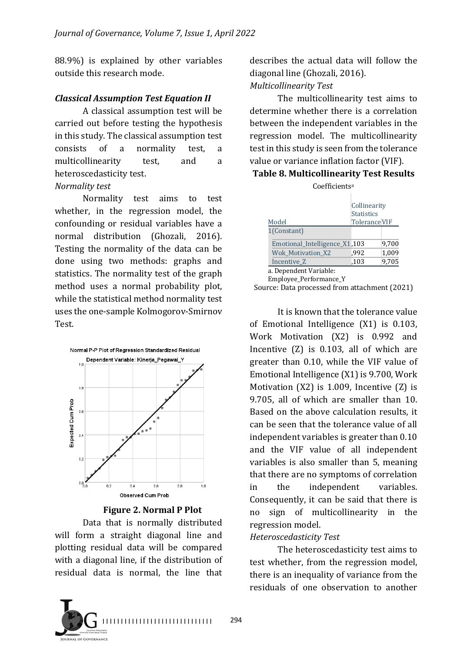88.9%) is explained by other variables outside this research mode.

#### *Classical Assumption Test Equation II*

A classical assumption test will be carried out before testing the hypothesis in this study. The classical assumption test consists of a normality test, a multicollinearity test, and a heteroscedasticity test.

#### *Normality test*

Normality test aims to test whether, in the regression model, the confounding or residual variables have a normal distribution (Ghozali, 2016). Testing the normality of the data can be done using two methods: graphs and statistics. The normality test of the graph method uses a normal probability plot, while the statistical method normality test uses the one-sample Kolmogorov-Smirnov Test.



**Figure 2. Normal P Plot** 

Data that is normally distributed will form a straight diagonal line and plotting residual data will be compared with a diagonal line, if the distribution of residual data is normal, the line that 



describes the actual data will follow the diagonal line (Ghozali, 2016). *Multicollinearity Test*

The multicollinearity test aims to determine whether there is a correlation between the independent variables in the regression model. The multicollinearity test in this study is seen from the tolerance value or variance inflation factor (VIF).

#### **Table 8. Multicollinearity Test Results**

| Coefficientsª                                    |                                                           |       |
|--------------------------------------------------|-----------------------------------------------------------|-------|
| Model                                            | Collinearity<br><b>Statistics</b><br><b>Tolerance VIF</b> |       |
| 1(Constant)                                      |                                                           |       |
| Emotional_Intelligence_X1,103                    |                                                           | 9,700 |
| <b>Wok Motivation X2</b>                         | ,992                                                      | 1,009 |
| Incentive Z                                      | ,103                                                      | 9,705 |
| a. Dependent Variable:<br>Employee_Performance_Y |                                                           |       |

Source: Data processed from attachment (2021)

It is known that the tolerance value of Emotional Intelligence  $(X1)$  is 0.103, Work Motivation (X2) is 0.992 and Incentive  $(Z)$  is 0.103, all of which are greater than  $0.10$ , while the VIF value of Emotional Intelligence  $(X1)$  is 9.700, Work Motivation  $(X2)$  is 1.009, Incentive  $(Z)$  is 9.705, all of which are smaller than 10. Based on the above calculation results, it can be seen that the tolerance value of all independent variables is greater than  $0.10$ and the VIF value of all independent variables is also smaller than 5, meaning that there are no symptoms of correlation in the independent variables. Consequently, it can be said that there is no sign of multicollinearity in the regression model.

#### *Heteroscedasticity Test*

The heteroscedasticity test aims to test whether, from the regression model, there is an inequality of variance from the residuals of one observation to another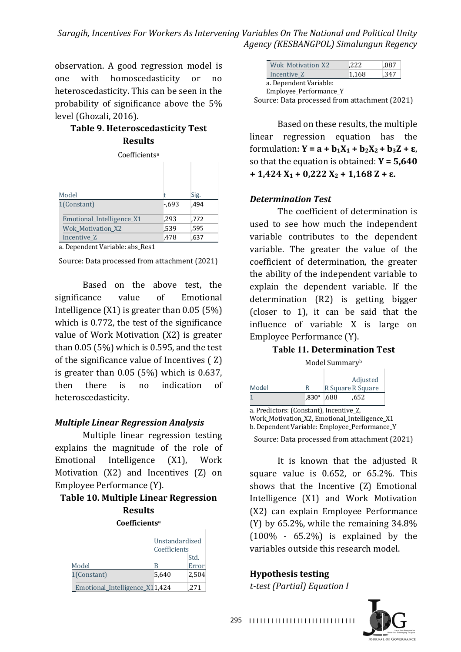observation. A good regression model is one with homoscedasticity or no heteroscedasticity. This can be seen in the probability of significance above the  $5\%$ level (Ghozali, 2016).

## **Table 9. Heteroscedasticity Test Results**

Coefficientsa

| Model                     |        | Sig. |
|---------------------------|--------|------|
| 1(Constant)               | $-693$ | .494 |
| Emotional_Intelligence_X1 | .293   | .772 |
| <b>Wok Motivation X2</b>  | .539   | ,595 |
| Incentive Z               | .478   | ,637 |

a. Dependent Variable: abs\_Res1

Source: Data processed from attachment (2021)

Based on the above test, the significance value of Emotional Intelligence  $(X1)$  is greater than 0.05  $(5%)$ which is 0.772, the test of the significance value of Work Motivation  $(X2)$  is greater than  $0.05$  (5%) which is 0.595, and the test of the significance value of Incentives  $( Z )$ is greater than  $0.05$  (5%) which is  $0.637$ , then there is no indication of heteroscedasticity.

#### *Multiple Linear Regression Analysis*

Multiple linear regression testing explains the magnitude of the role of Emotional Intelligence (X1), Work Motivation  $(X2)$  and Incentives  $(Z)$  on Employee Performance (Y).

## **Table 10. Multiple Linear Regression Results**

#### **Coefficientsa**

|                                | Unstandardized<br>Coefficients |       |
|--------------------------------|--------------------------------|-------|
|                                |                                | Std.  |
| Model                          | R                              | Error |
| 1(Constant)                    | 5,640                          | 2,504 |
| Emotional_Intelligence_X11,424 |                                | .271  |

| <b>Wok Motivation X2</b> | .222  | .087 |
|--------------------------|-------|------|
| Incentive Z              | 1.168 | ,347 |
| a. Dependent Variable:   |       |      |
| Employee_Performance_Y   |       |      |

Source: Data processed from attachment (2021)

Based on these results, the multiple linear regression equation has the formulation:  $Y = a + b_1X_1 + b_2X_2 + b_3Z + \varepsilon$ , so that the equation is obtained:  $Y = 5,640$  $+ 1,424 \text{ X}_1 + 0,222 \text{ X}_2 + 1,168 \text{ Z} + \epsilon.$ 

#### *Determination Test*

The coefficient of determination is used to see how much the independent variable contributes to the dependent variable. The greater the value of the coefficient of determination, the greater the ability of the independent variable to explain the dependent variable. If the determination  $(R2)$  is getting bigger (closer to 1), it can be said that the influence of variable  $X$  is large on Employee Performance (Y).

#### **Table 11. Determination Test**

|  | Model Summaryb |
|--|----------------|
|--|----------------|

|       |              |                   | Adjusted |
|-------|--------------|-------------------|----------|
| Model | R            | R Square R Square |          |
|       | $.830a$ .688 |                   | .652     |

a. Predictors: (Constant), Incentive\_Z, Work\_Motivation\_X2, Emotional\_Intelligence\_X1 b. Dependent Variable: Employee\_Performance\_Y Source: Data processed from attachment (2021)

It is known that the adjusted  $R$ square value is  $0.652$ , or  $65.2\%$ . This shows that the Incentive (Z) Emotional Intelligence (X1) and Work Motivation (X2) can explain Employee Performance (Y) by  $65.2\%$ , while the remaining  $34.8\%$  $(100\% - 65.2\%)$  is explained by the variables outside this research model.

#### **Hypothesis testing**

*t-test (Partial) Equation I*



295 | 111111111111111111111111111111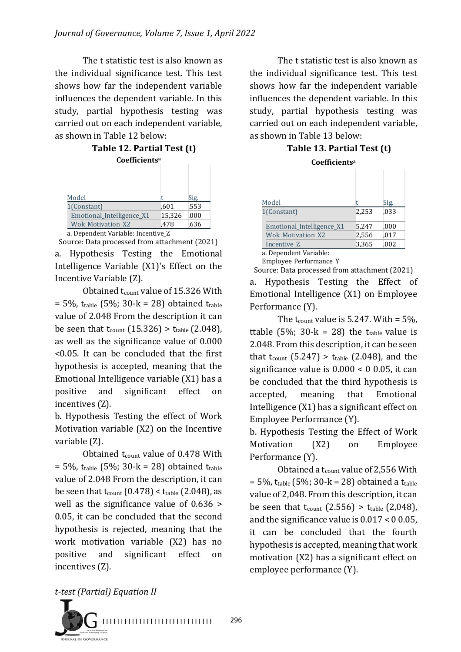The t statistic test is also known as the individual significance test. This test shows how far the independent variable influences the dependent variable. In this study, partial hypothesis testing was carried out on each independent variable, as shown in Table 12 below:

| Table 12. Partial Test (t) |
|----------------------------|
| Coefficients <sup>a</sup>  |

| Model                              |        | Sig. |  |
|------------------------------------|--------|------|--|
| 1(Constant)                        | .601   | ,553 |  |
| Emotional_Intelligence_X1          | 15,326 | .000 |  |
| <b>Wok Motivation X2</b>           | .478   | .636 |  |
| a. Dependent Variable: Incentive_Z |        |      |  |

Source: Data processed from attachment (2021) a. Hypothesis Testing the Emotional Intelligence Variable  $(X1)'s$  Effect on the Incentive Variable (Z).

Obtained  $t_{\text{count}}$  value of 15.326 With  $= 5\%$ , t<sub>table</sub> (5%; 30-k = 28) obtained t<sub>table</sub> value of 2.048 From the description it can be seen that  $t_{\text{count}}$  (15.326) >  $t_{\text{table}}$  (2.048), as well as the significance value of 0.000  $\leq$ 0.05. It can be concluded that the first hypothesis is accepted, meaning that the Emotional Intelligence variable  $(X1)$  has a positive and significant effect on incentives (Z).

b. Hypothesis Testing the effect of Work Motivation variable  $(X2)$  on the Incentive variable  $(Z)$ .

Obtained  $t_{\text{count}}$  value of 0.478 With  $= 5\%$ , t<sub>table</sub> (5%; 30-k = 28) obtained t<sub>table</sub> value of 2.048 From the description, it can be seen that  $t_{\text{count}}(0.478) < t_{\text{table}}(2.048)$ , as well as the significance value of  $0.636$  > 0.05, it can be concluded that the second hypothesis is rejected, meaning that the work motivation variable (X2) has no positive and significant effect on incentives (Z).

The t statistic test is also known as the individual significance test. This test shows how far the independent variable influences the dependent variable. In this study, partial hypothesis testing was carried out on each independent variable, as shown in Table 13 below:

## **Table 13. Partial Test (t)**

| Model                     |       | Sig. |
|---------------------------|-------|------|
| 1(Constant)               | 2.253 | ,033 |
| Emotional_Intelligence_X1 | 5.247 | ,000 |
| <b>Wok Motivation X2</b>  | 2,556 | ,017 |
| Incentive Z               | 3,365 | ,002 |

a. Dependent Variable:

Employee\_Performance\_Y Source: Data processed from attachment (2021)

a. Hypothesis Testing the Effect of Emotional Intelligence (X1) on Employee Performance (Y).

The  $t_{\text{count}}$  value is 5.247. With = 5%, ttable  $(5\%; 30-k = 28)$  the t<sub>table</sub> value is 2.048. From this description, it can be seen that  $t_{\text{count}}$  (5.247) >  $t_{\text{table}}$  (2.048), and the significance value is  $0.000 < 0.05$ , it can be concluded that the third hypothesis is accepted, meaning that Emotional Intelligence  $(X1)$  has a significant effect on Employee Performance (Y).

b. Hypothesis Testing the Effect of Work Motivation (X2) on Employee Performance (Y).

Obtained a  $t_{\text{count}}$  value of 2,556 With  $= 5\%$ , t<sub>table</sub> (5%; 30-k = 28) obtained a t<sub>table</sub> value of 2,048. From this description, it can be seen that  $t_{\text{count}}$  (2.556) >  $t_{\text{table}}$  (2,048), and the significance value is  $0.017 < 0.05$ , it can be concluded that the fourth hypothesis is accepted, meaning that work motivation  $(X2)$  has a significant effect on employee performance (Y).



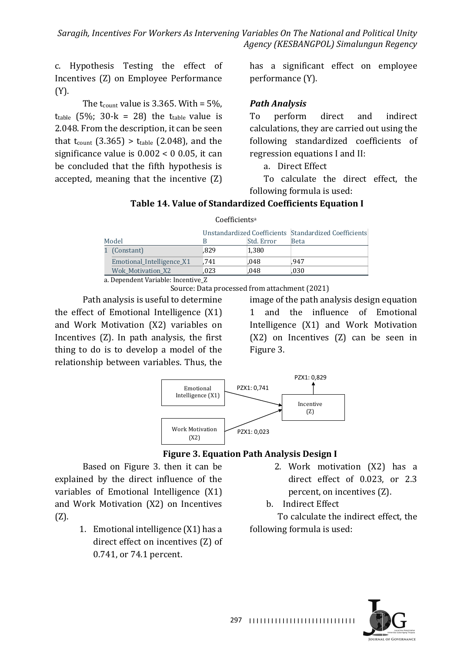c. Hypothesis Testing the effect of Incentives (Z) on Employee Performance (Y).

The  $t_{\text{count}}$  value is 3.365. With = 5%,  $t_{table}$  (5%; 30-k = 28) the  $t_{table}$  value is 2.048. From the description, it can be seen that  $t_{\text{count}}$  (3.365) >  $t_{\text{table}}$  (2.048), and the significance value is  $0.002 < 0.05$ , it can be concluded that the fifth hypothesis is accepted, meaning that the incentive  $(Z)$  has a significant effect on employee performance (Y).

### *Path Analysis*

To perform direct and indirect calculations, they are carried out using the following standardized coefficients of regression equations I and II:

a. Direct Effect

To calculate the direct effect, the following formula is used:

## **Table 14. Value of Standardized Coefficients Equation I**

|                                    |      |            | Unstandardized Coefficients Standardized Coefficients |
|------------------------------------|------|------------|-------------------------------------------------------|
| Model                              |      | Std. Error | <b>Beta</b>                                           |
| 1 (Constant)                       | .829 | 1.380      |                                                       |
| Emotional_Intelligence_X1          | .741 | .048       | .947                                                  |
| Wok Motivation X2                  | .023 | .048       | .030                                                  |
| n Donou dout Vorialdo, Ingontina 7 |      |            |                                                       |

Coefficientsa

a. Dependent Variable: Incentive\_Z

Source: Data processed from attachment (2021)

Path analysis is useful to determine the effect of Emotional Intelligence  $(X1)$ and Work Motivation (X2) variables on Incentives  $(Z)$ . In path analysis, the first thing to do is to develop a model of the relationship between variables. Thus, the

image of the path analysis design equation 1 and the influence of Emotional Intelligence (X1) and Work Motivation  $(X2)$  on Incentives  $(Z)$  can be seen in Figure 3.



## **Figure 3. Equation Path Analysis Design I**

Based on Figure 3. then it can be explained by the direct influence of the variables of Emotional Intelligence (X1) and Work Motivation (X2) on Incentives (Z).

- 1. Emotional intelligence  $(X1)$  has a direct effect on incentives (Z) of 0.741, or 74.1 percent.
- 2. Work motivation (X2) has a direct effect of 0.023, or 2.3 percent, on incentives (Z).
- b. Indirect Effect

To calculate the indirect effect, the following formula is used:

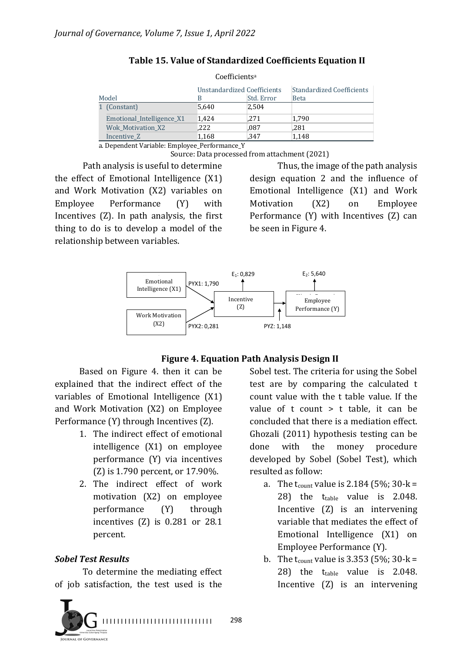| Coefficients <sup>a</sup>          |       |            |                           |
|------------------------------------|-------|------------|---------------------------|
| <b>Unstandardized Coefficients</b> |       |            | Standardized Coefficients |
| Model                              | B     | Std. Error | <b>Beta</b>               |
| 1 (Constant)                       | 5.640 | 2.504      |                           |
| Emotional_Intelligence_X1          | 1.424 | .271       | 1.790                     |
| <b>Wok Motivation X2</b>           | ,222  | ,087       | .281                      |
| Incentive Z                        | 1,168 | .347       | 1,148                     |

#### **Table 15. Value of Standardized Coefficients Equation II**

a. Dependent Variable: Employee Performance Y

Source: Data processed from attachment (2021)

Path analysis is useful to determine the effect of Emotional Intelligence  $(X1)$ and Work Motivation (X2) variables on Employee Performance (Y) with Incentives  $(Z)$ . In path analysis, the first thing to do is to develop a model of the relationship between variables.

Thus, the image of the path analysis design equation 2 and the influence of Emotional Intelligence  $(X1)$  and Work Motivation (X2) on Employee Performance  $(Y)$  with Incentives  $(Z)$  can be seen in Figure 4.



#### **Figure 4. Equation Path Analysis Design II**

Based on Figure 4. then it can be explained that the indirect effect of the variables of Emotional Intelligence  $(X1)$ and Work Motivation (X2) on Employee Performance  $(Y)$  through Incentives  $(Z)$ .

- 1. The indirect effect of emotional  $intelligence (X1) on employee$ performance  $(Y)$  via incentives  $(Z)$  is 1.790 percent, or 17.90%.
- 2. The indirect effect of work motivation (X2) on employee performance (Y) through incentives  $(Z)$  is 0.281 or 28.1 percent.

## *Sobel Test Results*

To determine the mediating effect of job satisfaction, the test used is the

Sobel test. The criteria for using the Sobel test are by comparing the calculated t count value with the t table value. If the value of  $t$  count  $> t$  table, it can be concluded that there is a mediation effect. Ghozali (2011) hypothesis testing can be done with the money procedure developed by Sobel (Sobel Test), which resulted as follow:

- a. The t<sub>count</sub> value is 2.184 (5%; 30-k = 28) the  $t_{table}$  value is 2.048. Incentive  $(Z)$  is an intervening variable that mediates the effect of Emotional Intelligence (X1) on Employee Performance (Y).
- b. The  $t_{\text{count}}$  value is 3.353 (5%; 30-k = 28) the  $t_{table}$  value is 2.048. Incentive  $(Z)$  is an intervening

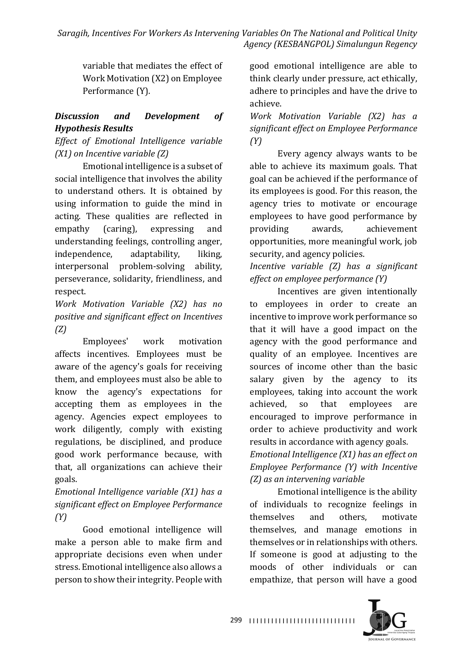variable that mediates the effect of Work Motivation (X2) on Employee Performance (Y).

## *Discussion and Development of Hypothesis Results*

*Effect of Emotional Intelligence variable (X1)* on *Incentive* variable *(Z)* 

Emotional intelligence is a subset of social intelligence that involves the ability to understand others. It is obtained by using information to guide the mind in acting. These qualities are reflected in empathy (caring), expressing and understanding feelings, controlling anger, independence, adaptability, liking, interpersonal problem-solving ability, perseverance, solidarity, friendliness, and respect.

*Work Motivation Variable (X2) has no positive and significant effect on Incentives (Z)*

Employees' work motivation affects incentives. Employees must be aware of the agency's goals for receiving them, and employees must also be able to know the agency's expectations for accepting them as employees in the agency. Agencies expect employees to work diligently, comply with existing regulations, be disciplined, and produce good work performance because, with that, all organizations can achieve their goals.

*Emotional Intelligence variable (X1) has a significant effect on Employee Performance (Y)*

Good emotional intelligence will make a person able to make firm and appropriate decisions even when under stress. Emotional intelligence also allows a person to show their integrity. People with

good emotional intelligence are able to think clearly under pressure, act ethically, adhere to principles and have the drive to achieve.

*Work Motivation Variable (X2) has a significant effect on Employee Performance (Y)*

Every agency always wants to be able to achieve its maximum goals. That goal can be achieved if the performance of its employees is good. For this reason, the agency tries to motivate or encourage employees to have good performance by providing awards, achievement opportunities, more meaningful work, job security, and agency policies.

*Incentive* variable (*Z*) has a significant *effect on employee performance* (Y)

Incentives are given intentionally to employees in order to create an incentive to improve work performance so that it will have a good impact on the agency with the good performance and quality of an employee. Incentives are sources of income other than the basic salary given by the agency to its employees, taking into account the work achieved, so that employees are encouraged to improve performance in order to achieve productivity and work results in accordance with agency goals. *Emotional Intelligence* (X1) has an effect on

*Employee Performance* (Y) with Incentive *(Z) as an intervening variable*

Emotional intelligence is the ability of individuals to recognize feelings in themselves and others, motivate themselves, and manage emotions in themselves or in relationships with others. If someone is good at adjusting to the moods of other individuals or can empathize, that person will have a good

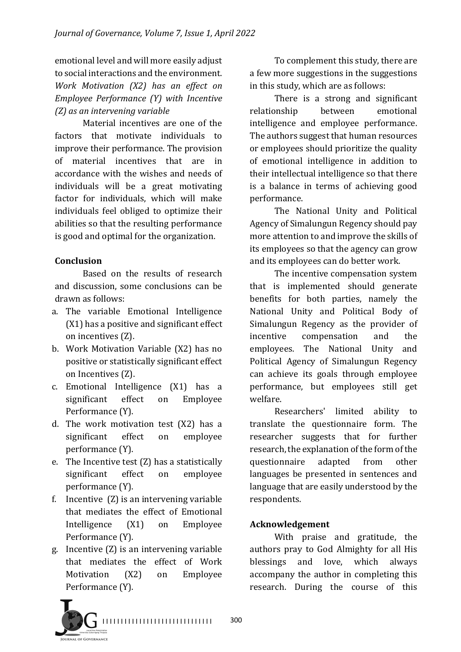emotional level and will more easily adjust to social interactions and the environment. *Work Motivation (X2) has an effect on Employee Performance (Y) with Incentive (Z) as an intervening variable*

Material incentives are one of the factors that motivate individuals to improve their performance. The provision of material incentives that are in accordance with the wishes and needs of individuals will be a great motivating factor for individuals, which will make individuals feel obliged to optimize their abilities so that the resulting performance is good and optimal for the organization.

## **Conclusion**

Based on the results of research and discussion, some conclusions can be drawn as follows:

- a. The variable Emotional Intelligence  $(X1)$  has a positive and significant effect on incentives (Z).
- b. Work Motivation Variable (X2) has no positive or statistically significant effect on Incentives (Z).
- c. Emotional Intelligence (X1) has a significant effect on Employee Performance (Y).
- d. The work motivation test  $(X2)$  has a significant effect on employee performance (Y).
- e. The Incentive test  $(Z)$  has a statistically significant effect on employee performance (Y).
- f. Incentive  $(Z)$  is an intervening variable that mediates the effect of Emotional Intelligence (X1) on Employee Performance (Y).
- g. Incentive  $(Z)$  is an intervening variable that mediates the effect of Work Motivation (X2) on Employee Performance (Y).

To complement this study, there are a few more suggestions in the suggestions in this study, which are as follows:

There is a strong and significant relationship between emotional intelligence and employee performance. The authors suggest that human resources or employees should prioritize the quality of emotional intelligence in addition to their intellectual intelligence so that there is a balance in terms of achieving good performance.

The National Unity and Political Agency of Simalungun Regency should pay more attention to and improve the skills of its employees so that the agency can grow and its employees can do better work.

The incentive compensation system that is implemented should generate benefits for both parties, namely the National Unity and Political Body of Simalungun Regency as the provider of incentive compensation and the employees. The National Unity and Political Agency of Simalungun Regency can achieve its goals through employee performance, but employees still get welfare.

Researchers' limited ability to translate the questionnaire form. The researcher suggests that for further research, the explanation of the form of the questionnaire adapted from other languages be presented in sentences and language that are easily understood by the respondents.

## **Acknowledgement**

With praise and gratitude, the authors pray to God Almighty for all His blessings and love, which always accompany the author in completing this research. During the course of this